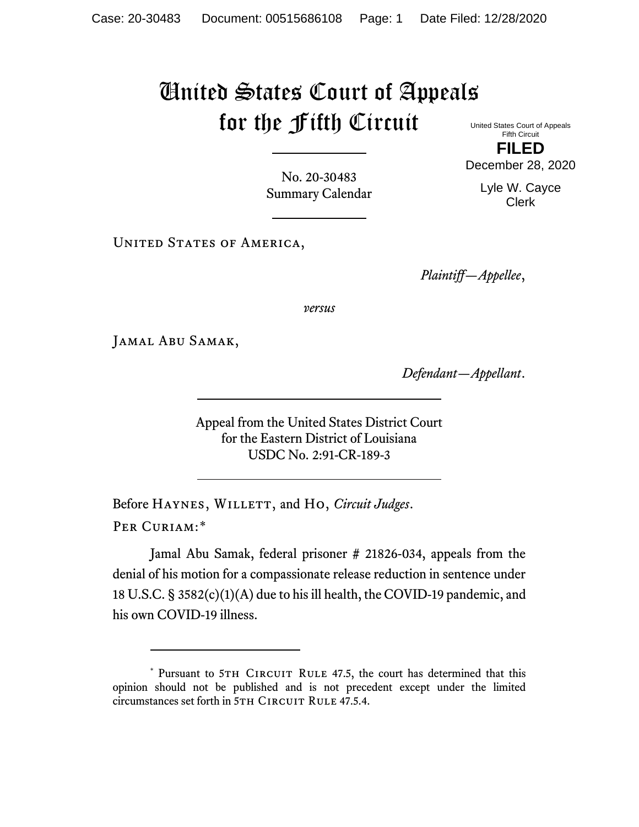## United States Court of Appeals for the Fifth Circuit

United States Court of Appeals Fifth Circuit **FILED**

No. 20-30483 Summary Calendar

UNITED STATES OF AMERICA,

*Plaintiff—Appellee*,

*versus*

Jamal Abu Samak,

*Defendant—Appellant*.

Appeal from the United States District Court for the Eastern District of Louisiana USDC No. 2:91-CR-189-3

Before HAYNES, WILLETT, and Ho, *Circuit Judges*. Per Curiam:[\\*](#page-0-0)

Jamal Abu Samak, federal prisoner # 21826-034, appeals from the denial of his motion for a compassionate release reduction in sentence under 18 U.S.C. § 3582(c)(1)(A) due to his ill health, the COVID-19 pandemic, and his own COVID-19 illness.

December 28, 2020

Lyle W. Cayce Clerk

<span id="page-0-0"></span><sup>\*</sup> Pursuant to 5TH CIRCUIT RULE 47.5, the court has determined that this opinion should not be published and is not precedent except under the limited circumstances set forth in 5TH CIRCUIT RULE 47.5.4.